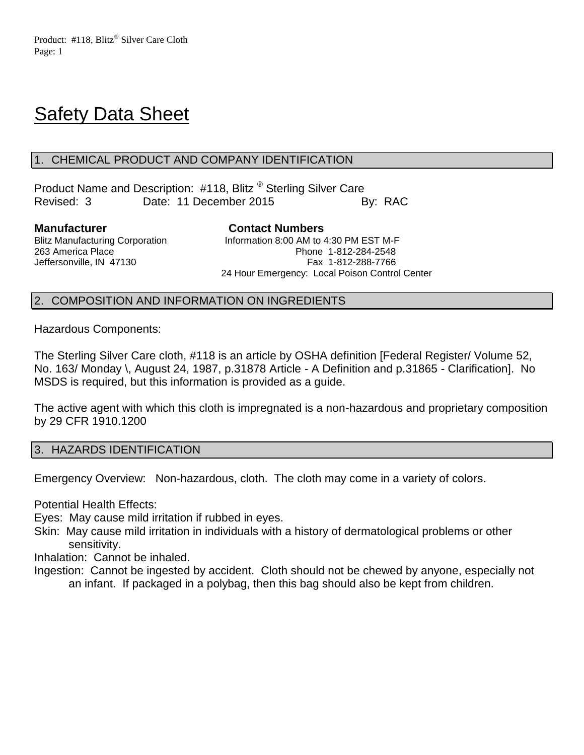# **Safety Data Sheet**

## 1. CHEMICAL PRODUCT AND COMPANY IDENTIFICATION

Product Name and Description: #118, Blitz ® Sterling Silver Care Revised: 3 Date: 11 December 2015 By: RAC

**Manufacturer Contact Numbers**

Blitz Manufacturing Corporation **Information 8:00 AM to 4:30 PM EST M-F** 263 America Place Phone 1-812-284-2548 Jeffersonville, IN 47130 Fax 1-812-288-7766 24 Hour Emergency: Local Poison Control Center

## 2. COMPOSITION AND INFORMATION ON INGREDIENTS

Hazardous Components:

The Sterling Silver Care cloth, #118 is an article by OSHA definition [Federal Register/ Volume 52, No. 163/ Monday \, August 24, 1987, p.31878 Article - A Definition and p.31865 - Clarification]. No MSDS is required, but this information is provided as a guide.

The active agent with which this cloth is impregnated is a non-hazardous and proprietary composition by 29 CFR 1910.1200

## 3. HAZARDS IDENTIFICATION

Emergency Overview: Non-hazardous, cloth. The cloth may come in a variety of colors.

Potential Health Effects:

Eyes: May cause mild irritation if rubbed in eyes.

Skin: May cause mild irritation in individuals with a history of dermatological problems or other sensitivity.

Inhalation: Cannot be inhaled.

Ingestion: Cannot be ingested by accident. Cloth should not be chewed by anyone, especially not an infant. If packaged in a polybag, then this bag should also be kept from children.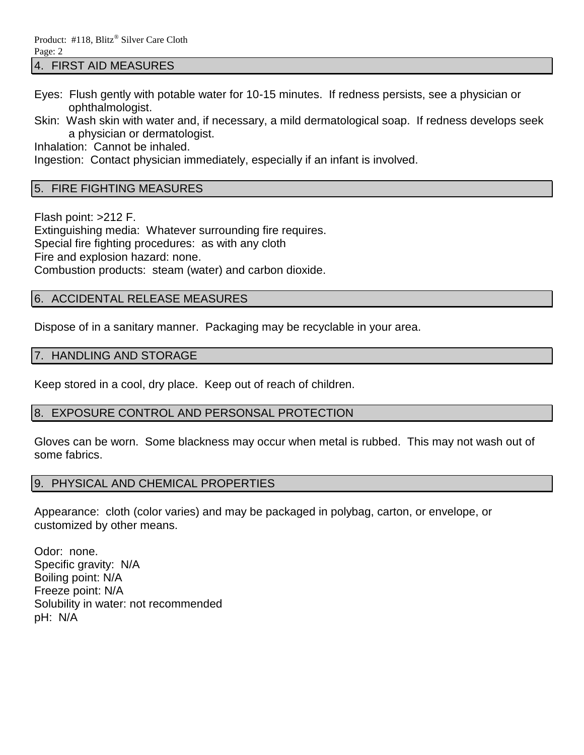#### 4. FIRST AID MEASURES

- Eyes: Flush gently with potable water for 10-15 minutes. If redness persists, see a physician or ophthalmologist.
- Skin: Wash skin with water and, if necessary, a mild dermatological soap. If redness develops seek a physician or dermatologist.

Inhalation: Cannot be inhaled.

Ingestion: Contact physician immediately, especially if an infant is involved.

## 5. FIRE FIGHTING MEASURES

Flash point: >212 F. Extinguishing media: Whatever surrounding fire requires. Special fire fighting procedures: as with any cloth Fire and explosion hazard: none. Combustion products: steam (water) and carbon dioxide.

## 6. ACCIDENTAL RELEASE MEASURES

Dispose of in a sanitary manner. Packaging may be recyclable in your area.

### 7. HANDLING AND STORAGE

Keep stored in a cool, dry place. Keep out of reach of children.

## 8. EXPOSURE CONTROL AND PERSONSAL PROTECTION

Gloves can be worn. Some blackness may occur when metal is rubbed. This may not wash out of some fabrics.

## 9. PHYSICAL AND CHEMICAL PROPERTIES

Appearance: cloth (color varies) and may be packaged in polybag, carton, or envelope, or customized by other means.

Odor: none. Specific gravity: N/A Boiling point: N/A Freeze point: N/A Solubility in water: not recommended pH: N/A